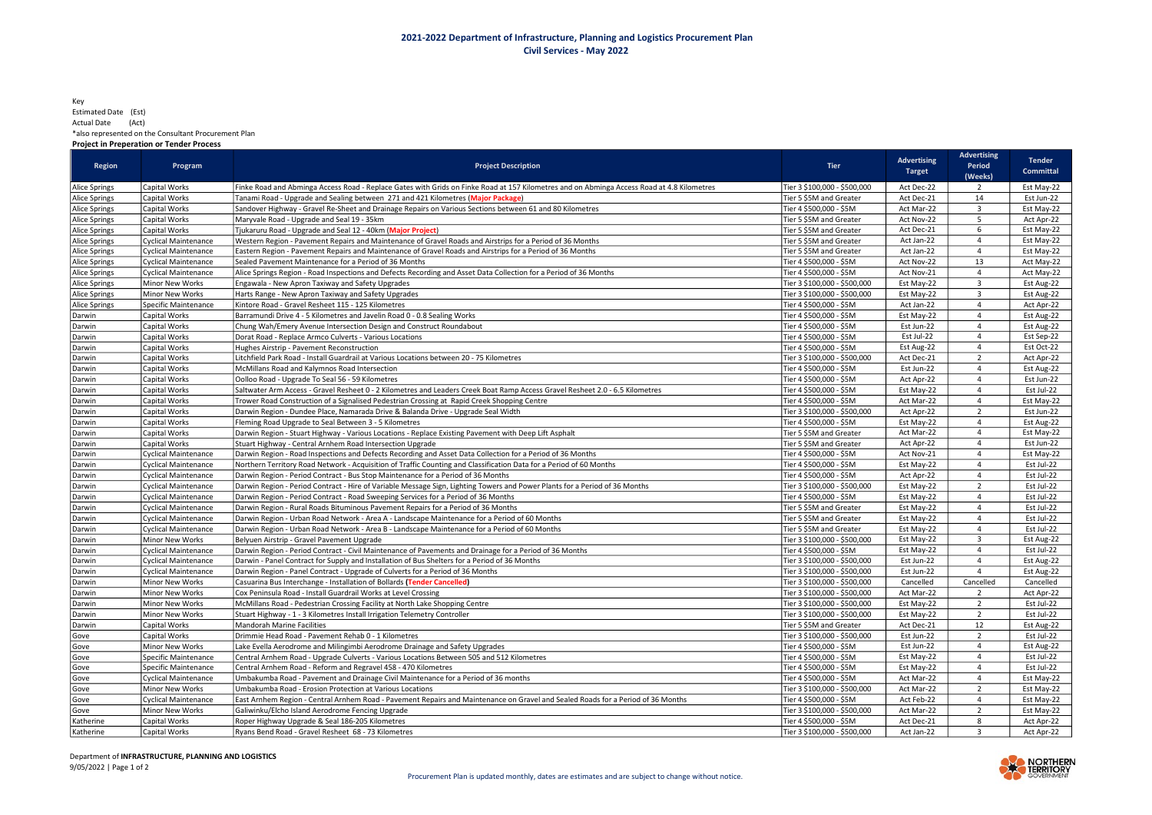## Key Estimated Date (Est) Actual Date (Act) \*also represented on the Consultant Procurement Plan

## Project in Preperation or Tender Process

| Region               | Program                     | <b>Project Description</b>                                                                                                                 | <b>Tier</b>                  | <b>Advertising</b><br><b>Target</b> | <b>Advertising</b><br>Period<br>(Weeks) | <b>Tender</b><br><b>Committal</b> |
|----------------------|-----------------------------|--------------------------------------------------------------------------------------------------------------------------------------------|------------------------------|-------------------------------------|-----------------------------------------|-----------------------------------|
| Alice Springs        | Capital Works               | Finke Road and Abminga Access Road - Replace Gates with Grids on Finke Road at 157 Kilometres and on Abminga Access Road at 4.8 Kilometres | Tier 3 \$100,000 - \$500,000 | Act Dec-22                          | $\overline{2}$                          | Est May-22                        |
| <b>Alice Springs</b> | Capital Works               | Tanami Road - Upgrade and Sealing between 271 and 421 Kilometres (Major Package)                                                           | Tier 5 \$5M and Greater      | Act Dec-21                          | 14                                      | Est Jun-22                        |
| Alice Springs        | Capital Works               | Sandover Highway - Gravel Re-Sheet and Drainage Repairs on Various Sections between 61 and 80 Kilometres                                   | Tier 4 \$500,000 - \$5M      | Act Mar-22                          | $\overline{3}$                          | Est May-22                        |
| Alice Springs        | Capital Works               | Maryvale Road - Upgrade and Seal 19 - 35km                                                                                                 | Tier 5 \$5M and Greater      | Act Nov-22                          | 5                                       | Act Apr-22                        |
| Alice Springs        | Capital Works               | Tjukaruru Road - Upgrade and Seal 12 - 40km (Major Project)                                                                                | Tier 5 \$5M and Greater      | Act Dec-21                          | 6                                       | Est May-22                        |
| <b>Alice Springs</b> | <b>Cyclical Maintenance</b> | Western Region - Pavement Repairs and Maintenance of Gravel Roads and Airstrips for a Period of 36 Months                                  | Tier 5 \$5M and Greater      | Act Jan-22                          | $\overline{4}$                          | Est May-22                        |
| Alice Springs        | <b>Cyclical Maintenance</b> | Eastern Region - Pavement Repairs and Maintenance of Gravel Roads and Airstrips for a Period of 36 Months                                  | Tier 5 \$5M and Greater      | Act Jan-22                          | $\overline{4}$                          | Est May-22                        |
| Alice Springs        | <b>Cyclical Maintenance</b> | Sealed Pavement Maintenance for a Period of 36 Months                                                                                      | Tier 4 \$500,000 - \$5M      | Act Nov-22                          | 13                                      | Act May-22                        |
| <b>Alice Springs</b> | <b>Cyclical Maintenance</b> | Alice Springs Region - Road Inspections and Defects Recording and Asset Data Collection for a Period of 36 Months                          | Tier 4 \$500,000 - \$5M      | Act Nov-21                          | $\overline{4}$                          | Act May-22                        |
| Alice Springs        | Minor New Works             | Engawala - New Apron Taxiway and Safety Upgrades                                                                                           | Tier 3 \$100,000 - \$500,000 | Est May-22                          | 3                                       | Est Aug-22                        |
| Alice Springs        | Minor New Works             | Harts Range - New Apron Taxiway and Safety Upgrades                                                                                        | Tier 3 \$100,000 - \$500,000 | Est May-22                          | $\overline{3}$                          | Est Aug-22                        |
| <b>Alice Springs</b> | Specific Maintenance        | Kintore Road - Gravel Resheet 115 - 125 Kilometres                                                                                         | Tier 4 \$500,000 - \$5M      | Act Jan-22                          | $\overline{4}$                          | Act Apr-22                        |
| Darwin               | Capital Works               | Barramundi Drive 4 - 5 Kilometres and Javelin Road 0 - 0.8 Sealing Works                                                                   | Tier 4 \$500,000 - \$5M      | Est May-22                          | $\overline{4}$                          | Est Aug-22                        |
| Darwin               | Capital Works               | Chung Wah/Emery Avenue Intersection Design and Construct Roundabout                                                                        | Tier 4 \$500,000 - \$5M      | Est Jun-22                          | $\overline{4}$                          | Est Aug-22                        |
| Darwin               | Capital Works               | Dorat Road - Replace Armco Culverts - Various Locations                                                                                    | Tier 4 \$500,000 - \$5M      | Est Jul-22                          | $\overline{4}$                          | Est Sep-22                        |
| Darwin               | Capital Works               | Hughes Airstrip - Pavement Reconstruction                                                                                                  | Fier 4 \$500,000 - \$5M      | Est Aug-22                          | $\overline{4}$                          | Est Oct-22                        |
| Darwin               | Capital Works               | Litchfield Park Road - Install Guardrail at Various Locations between 20 - 75 Kilometres                                                   | Tier 3 \$100,000 - \$500,000 | Act Dec-21                          | $\overline{2}$                          | Act Apr-22                        |
| Darwin               | Capital Works               | McMillans Road and Kalymnos Road Intersection                                                                                              | Tier 4 \$500,000 - \$5M      | Est Jun-22                          | $\overline{4}$                          | Est Aug-22                        |
| Darwin               | Capital Works               | Oolloo Road - Upgrade To Seal 56 - 59 Kilometres                                                                                           | Tier 4 \$500,000 - \$5M      | Act Apr-22                          | $\overline{4}$                          | Est Jun-22                        |
| Darwin               | Capital Works               | Saltwater Arm Access - Gravel Resheet 0 - 2 Kilometres and Leaders Creek Boat Ramp Access Gravel Resheet 2.0 - 6.5 Kilometres              | Tier 4 \$500,000 - \$5M      | Est May-22                          | $\overline{4}$                          | Est Jul-22                        |
| Darwin               | Capital Works               | Trower Road Construction of a Signalised Pedestrian Crossing at Rapid Creek Shopping Centre                                                | Tier 4 \$500,000 - \$5M      | Act Mar-22                          | $\overline{4}$                          | Est May-22                        |
| Darwin               | Capital Works               | Darwin Region - Dundee Place, Namarada Drive & Balanda Drive - Upgrade Seal Width                                                          | Tier 3 \$100,000 - \$500,000 | Act Apr-22                          | $\overline{2}$                          | Est Jun-22                        |
| Darwin               | Capital Works               | Fleming Road Upgrade to Seal Between 3 - 5 Kilometres                                                                                      | Tier 4 \$500,000 - \$5M      | Est May-22                          | $\overline{4}$                          | Est Aug-22                        |
| Darwin               | Capital Works               | Darwin Region - Stuart Highway - Various Locations - Replace Existing Pavement with Deep Lift Asphalt                                      | Tier 5 \$5M and Greater      | Act Mar-22                          | $\overline{4}$                          | Est May-22                        |
| Darwin               | Capital Works               | Stuart Highway - Central Arnhem Road Intersection Upgrade                                                                                  | Tier 5 \$5M and Greater      | Act Apr-22                          | $\overline{4}$                          | Est Jun-22                        |
| Darwin               | <b>Cyclical Maintenance</b> | Darwin Region - Road Inspections and Defects Recording and Asset Data Collection for a Period of 36 Months                                 | Tier 4 \$500,000 - \$5M      | Act Nov-21                          | $\overline{4}$                          | Est May-22                        |
| Darwin               | <b>Cyclical Maintenance</b> | Northern Territory Road Network - Acquisition of Traffic Counting and Classification Data for a Period of 60 Months                        | Tier 4 \$500,000 - \$5M      | Est May-22                          | $\overline{4}$                          | Est Jul-22                        |
| Darwin               | <b>Cyclical Maintenance</b> | Darwin Region - Period Contract - Bus Stop Maintenance for a Period of 36 Months                                                           | Tier 4 \$500,000 - \$5M      | Act Apr-22                          | $\overline{4}$                          | Est Jul-22                        |
| Darwin               | <b>Cyclical Maintenance</b> | Darwin Region - Period Contract - Hire of Variable Message Sign, Lighting Towers and Power Plants for a Period of 36 Months                | Tier 3 \$100,000 - \$500,000 | Est May-22                          | $\overline{2}$                          | Est Jul-22                        |
| Darwin               | Cyclical Maintenance        | Darwin Region - Period Contract - Road Sweeping Services for a Period of 36 Months                                                         | Tier 4 \$500,000 - \$5M      | Est May-22                          | $\overline{4}$                          | Est Jul-22                        |
| Darwin               | <b>Cyclical Maintenance</b> | Darwin Region - Rural Roads Bituminous Pavement Repairs for a Period of 36 Months                                                          | Tier 5 \$5M and Greater      | Est May-22                          | $\overline{4}$                          | Est Jul-22                        |
| Darwin               | <b>Cyclical Maintenance</b> | Darwin Region - Urban Road Network - Area A - Landscape Maintenance for a Period of 60 Months                                              | Tier 5 \$5M and Greater      | Est May-22                          | $\overline{4}$                          | Est Jul-22                        |
| Darwin               | <b>Cyclical Maintenance</b> | Darwin Region - Urban Road Network - Area B - Landscape Maintenance for a Period of 60 Months                                              | Tier 5 \$5M and Greater      | Est May-22                          | $\overline{4}$                          | Est Jul-22                        |
| Darwin               | Minor New Works             | Belyuen Airstrip - Gravel Pavement Upgrade                                                                                                 | Tier 3 \$100,000 - \$500,000 | Est May-22                          | $\overline{3}$                          | Est Aug-22                        |
| Darwin               | Cyclical Maintenance        | Darwin Region - Period Contract - Civil Maintenance of Pavements and Drainage for a Period of 36 Months                                    | Tier 4 \$500,000 - \$5M      | Est May-22                          | $\overline{4}$                          | Est Jul-22                        |
| Darwin               | <b>Cyclical Maintenance</b> | Darwin - Panel Contract for Supply and Installation of Bus Shelters for a Period of 36 Months                                              | Tier 3 \$100,000 - \$500,000 | Est Jun-22                          | $\overline{4}$                          | Est Aug-22                        |
| Darwin               | <b>Cyclical Maintenance</b> | Darwin Region - Panel Contract - Upgrade of Culverts for a Period of 36 Months                                                             | Tier 3 \$100,000 - \$500,000 | Est Jun-22                          | $\overline{4}$                          | Est Aug-22                        |
| Darwin               | Minor New Works             | Casuarina Bus Interchange - Installation of Bollards (Tender Cancelled)                                                                    | Fier 3 \$100,000 - \$500,000 | Cancelled                           | Cancelled                               | Cancelled                         |
| Darwin               | <b>Minor New Works</b>      | Cox Peninsula Road - Install Guardrail Works at Level Crossing                                                                             | Fier 3 \$100,000 - \$500,000 | Act Mar-22                          | 2                                       | Act Apr-22                        |
| Darwin               | Minor New Works             | McMillans Road - Pedestrian Crossing Facility at North Lake Shopping Centre                                                                | Tier 3 \$100,000 - \$500,000 | Est May-22                          | $\overline{2}$                          | Est Jul-22                        |
| Darwin               | <b>Minor New Works</b>      | Stuart Highway - 1 - 3 Kilometres Install Irrigation Telemetry Controller                                                                  | Tier 3 \$100,000 - \$500,000 | Est May-22                          | $\overline{2}$                          | Est Jul-22                        |
| Darwin               | Capital Works               | <b>Mandorah Marine Facilities</b>                                                                                                          | Tier 5 \$5M and Greater      | Act Dec-21                          | 12                                      | Est Aug-22                        |
| Gove                 | Capital Works               | Drimmie Head Road - Pavement Rehab 0 - 1 Kilometres                                                                                        | Fier 3 \$100,000 - \$500,000 | Est Jun-22                          | $\overline{2}$                          | Est Jul-22                        |
| Gove                 | Minor New Works             | Lake Evella Aerodrome and Milingimbi Aerodrome Drainage and Safety Upgrades                                                                | Tier 4 \$500,000 - \$5M      | Est Jun-22                          | $\overline{4}$                          | Est Aug-22                        |
| Gove                 | Specific Maintenance        | Central Arnhem Road - Upgrade Culverts - Various Locations Between 505 and 512 Kilometres                                                  | Tier 4 \$500,000 - \$5M      | Est May-22                          | $\overline{4}$                          | Est Jul-22                        |
| Gove                 | Specific Maintenance        | Central Arnhem Road - Reform and Regravel 458 - 470 Kilometres                                                                             | Tier 4 \$500,000 - \$5M      | Est May-22                          | $\overline{4}$                          | Est Jul-22                        |
| Gove                 | <b>Cyclical Maintenance</b> | Umbakumba Road - Pavement and Drainage Civil Maintenance for a Period of 36 months                                                         | Tier 4 \$500,000 - \$5M      | Act Mar-22                          | 4                                       | Est May-22                        |
| Gove                 | Minor New Works             | Umbakumba Road - Erosion Protection at Various Locations                                                                                   | Tier 3 \$100,000 - \$500,000 | Act Mar-22                          | $\overline{2}$                          | Est May-22                        |
| Gove                 | <b>Cyclical Maintenance</b> | East Arnhem Region - Central Arnhem Road - Pavement Repairs and Maintenance on Gravel and Sealed Roads for a Period of 36 Months           | Tier 4 \$500,000 - \$5M      | Act Feb-22                          | $\overline{4}$                          | Est May-22                        |
| Gove                 | Minor New Works             | Galiwinku/Elcho Island Aerodrome Fencing Upgrade                                                                                           | Tier 3 \$100,000 - \$500,000 | Act Mar-22                          | $\overline{2}$                          | Est May-22                        |
| Katherine            | Capital Works               | Roper Highway Upgrade & Seal 186-205 Kilometres                                                                                            | Tier 4 \$500,000 - \$5M      | Act Dec-21                          | 8                                       | Act Apr-22                        |
| Katherine            | Capital Works               | Ryans Bend Road - Gravel Resheet 68 - 73 Kilometres                                                                                        | Tier 3 \$100,000 - \$500,000 | Act Jan-22                          | $\overline{3}$                          | Act Apr-22                        |